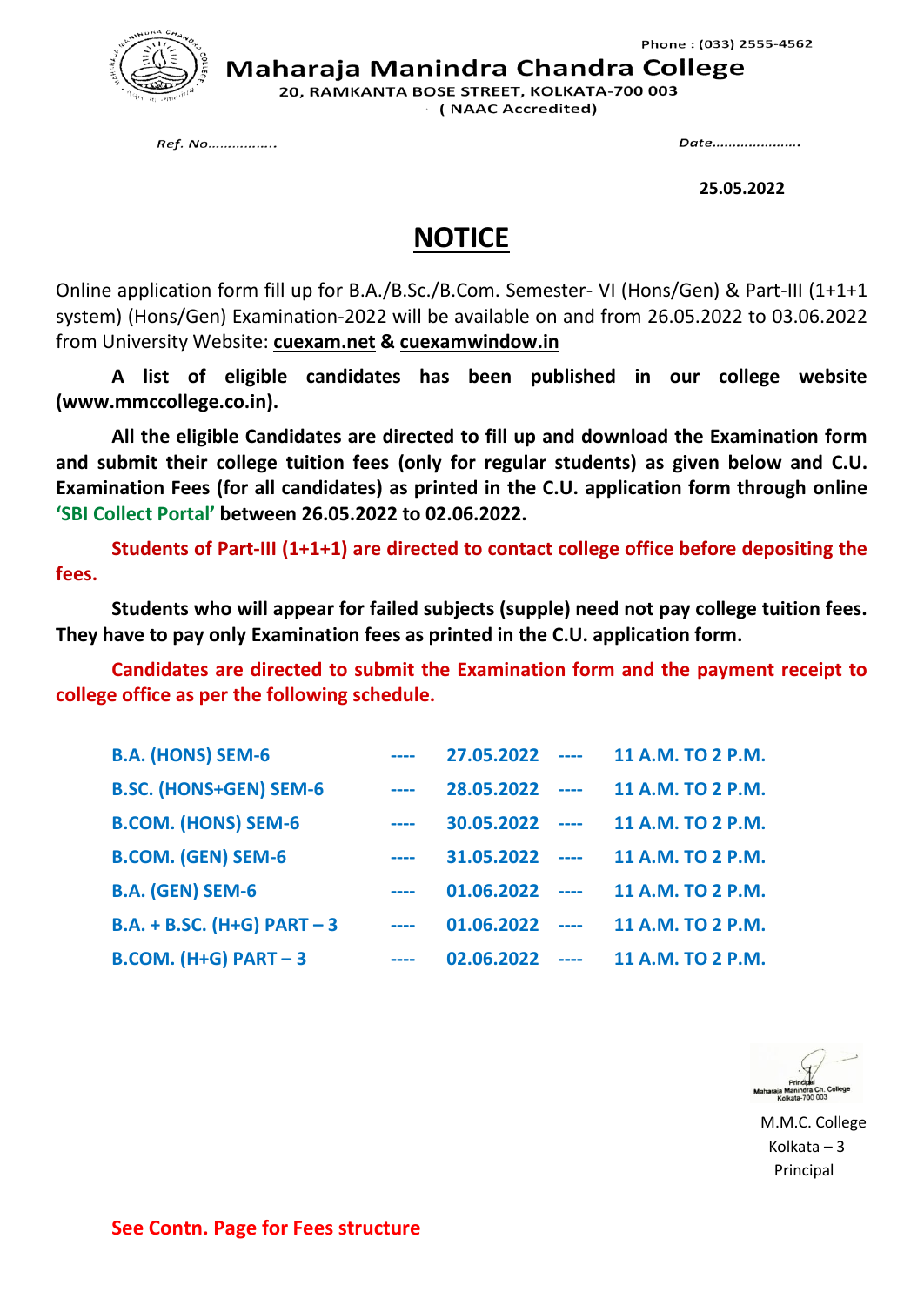

Maharaja Manindra Chandra College

20, RAMKANTA BOSE STREET, KOLKATA-700 003 (NAAC Accredited)

Ref. No................

Date......................

**25.05.2022**

## **NOTICE**

Online application form fill up for B.A./B.Sc./B.Com. Semester- VI (Hons/Gen) & Part-III (1+1+1 system) (Hons/Gen) Examination-2022 will be available on and from 26.05.2022 to 03.06.2022 from University Website: **cuexam.net & cuexamwindow.in**

**A list of eligible candidates has been published in our college website (www.mmccollege.co.in).**

**All the eligible Candidates are directed to fill up and download the Examination form and submit their college tuition fees (only for regular students) as given below and C.U. Examination Fees (for all candidates) as printed in the C.U. application form through online 'SBI Collect Portal' between 26.05.2022 to 02.06.2022.**

**Students of Part-III (1+1+1) are directed to contact college office before depositing the fees.**

**Students who will appear for failed subjects (supple) need not pay college tuition fees. They have to pay only Examination fees as printed in the C.U. application form.**

**Candidates are directed to submit the Examination form and the payment receipt to college office as per the following schedule.**

| <b>B.A. (HONS) SEM-6</b>      |                                                                                                                           | $27.05.2022$ ---- | 11 A.M. TO 2 P.M. |
|-------------------------------|---------------------------------------------------------------------------------------------------------------------------|-------------------|-------------------|
| <b>B.SC. (HONS+GEN) SEM-6</b> | $\frac{1}{2} \left( \frac{1}{2} \right) \left( \frac{1}{2} \right) \left( \frac{1}{2} \right) \left( \frac{1}{2} \right)$ | $28.05.2022$ ---- | 11 A.M. TO 2 P.M. |
| <b>B.COM. (HONS) SEM-6</b>    | $\frac{1}{2} \left( \frac{1}{2} \right) \left( \frac{1}{2} \right) \left( \frac{1}{2} \right) \left( \frac{1}{2} \right)$ | $30.05.2022$ ---- | 11 A.M. TO 2 P.M. |
| <b>B.COM. (GEN) SEM-6</b>     | $\frac{1}{2} \left( \frac{1}{2} \right) \left( \frac{1}{2} \right) \left( \frac{1}{2} \right) \left( \frac{1}{2} \right)$ | $31.05.2022$ ---- | 11 A.M. TO 2 P.M. |
| <b>B.A. (GEN) SEM-6</b>       | $\frac{1}{2} \left( \frac{1}{2} \right) \left( \frac{1}{2} \right) \left( \frac{1}{2} \right) \left( \frac{1}{2} \right)$ | $01.06.2022$ ---- | 11 A.M. TO 2 P.M. |
| B.A. + B.SC. (H+G) PART $-3$  | $\frac{1}{2} \left( \frac{1}{2} \right) \left( \frac{1}{2} \right) \left( \frac{1}{2} \right)$                            | $01.06.2022$ ---- | 11 A.M. TO 2 P.M. |
| <b>B.COM.</b> (H+G) PART $-3$ | $\frac{1}{2} \left( \frac{1}{2} \right) \left( \frac{1}{2} \right) \left( \frac{1}{2} \right) \left( \frac{1}{2} \right)$ | $02.06.2022$ ---- | 11 A.M. TO 2 P.M. |

 M.M.C. College Kolkata – 3 Principal

**See Contn. Page for Fees structure**